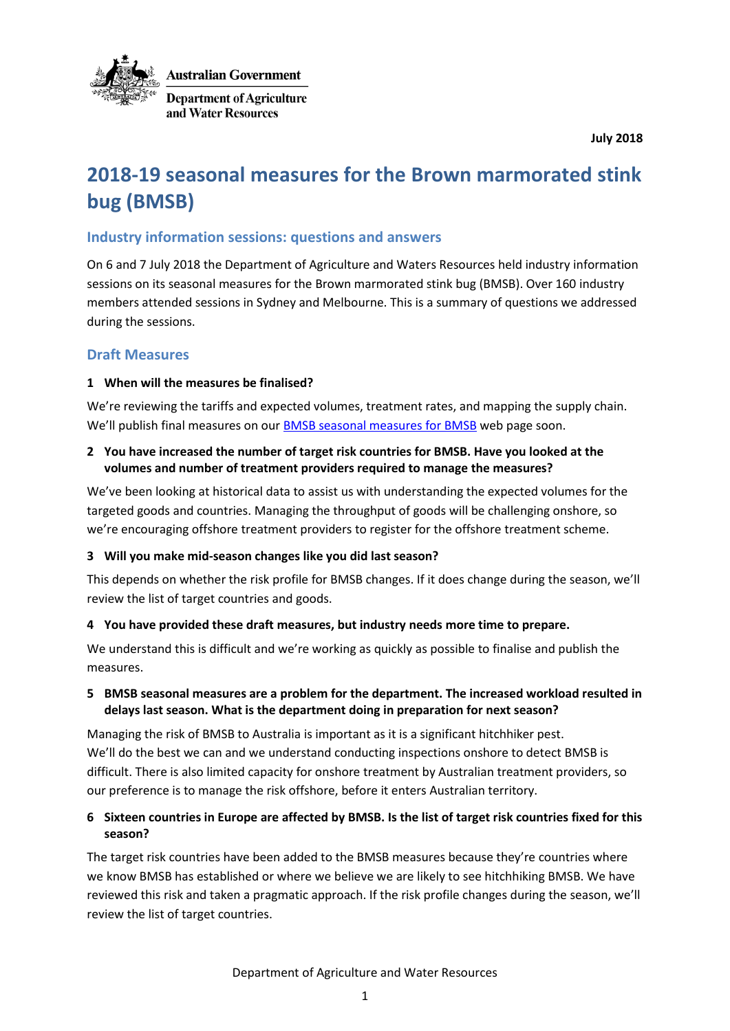

**July 2018**

# **2018-19 seasonal measures for the Brown marmorated stink bug (BMSB)**

# **Industry information sessions: questions and answers**

On 6 and 7 July 2018 the Department of Agriculture and Waters Resources held industry information sessions on its seasonal measures for the Brown marmorated stink bug (BMSB). Over 160 industry members attended sessions in Sydney and Melbourne. This is a summary of questions we addressed during the sessions.

# **Draft Measures**

### **1 When will the measures be finalised?**

We're reviewing the tariffs and expected volumes, treatment rates, and mapping the supply chain. We'll publish final measures on our [BMSB seasonal measures for BMSB](http://www.agriculture.gov.au/bmsb) web page soon.

### **2 You have increased the number of target risk countries for BMSB. Have you looked at the volumes and number of treatment providers required to manage the measures?**

We've been looking at historical data to assist us with understanding the expected volumes for the targeted goods and countries. Managing the throughput of goods will be challenging onshore, so we're encouraging offshore treatment providers to register for the offshore treatment scheme.

### **3 Will you make mid-season changes like you did last season?**

This depends on whether the risk profile for BMSB changes. If it does change during the season, we'll review the list of target countries and goods.

# **4 You have provided these draft measures, but industry needs more time to prepare.**

We understand this is difficult and we're working as quickly as possible to finalise and publish the measures.

# **5 BMSB seasonal measures are a problem for the department. The increased workload resulted in delays last season. What is the department doing in preparation for next season?**

Managing the risk of BMSB to Australia is important as it is a significant hitchhiker pest. We'll do the best we can and we understand conducting inspections onshore to detect BMSB is difficult. There is also limited capacity for onshore treatment by Australian treatment providers, so our preference is to manage the risk offshore, before it enters Australian territory.

# **6 Sixteen countries in Europe are affected by BMSB. Is the list of target risk countries fixed for this season?**

The target risk countries have been added to the BMSB measures because they're countries where we know BMSB has established or where we believe we are likely to see hitchhiking BMSB. We have reviewed this risk and taken a pragmatic approach. If the risk profile changes during the season, we'll review the list of target countries.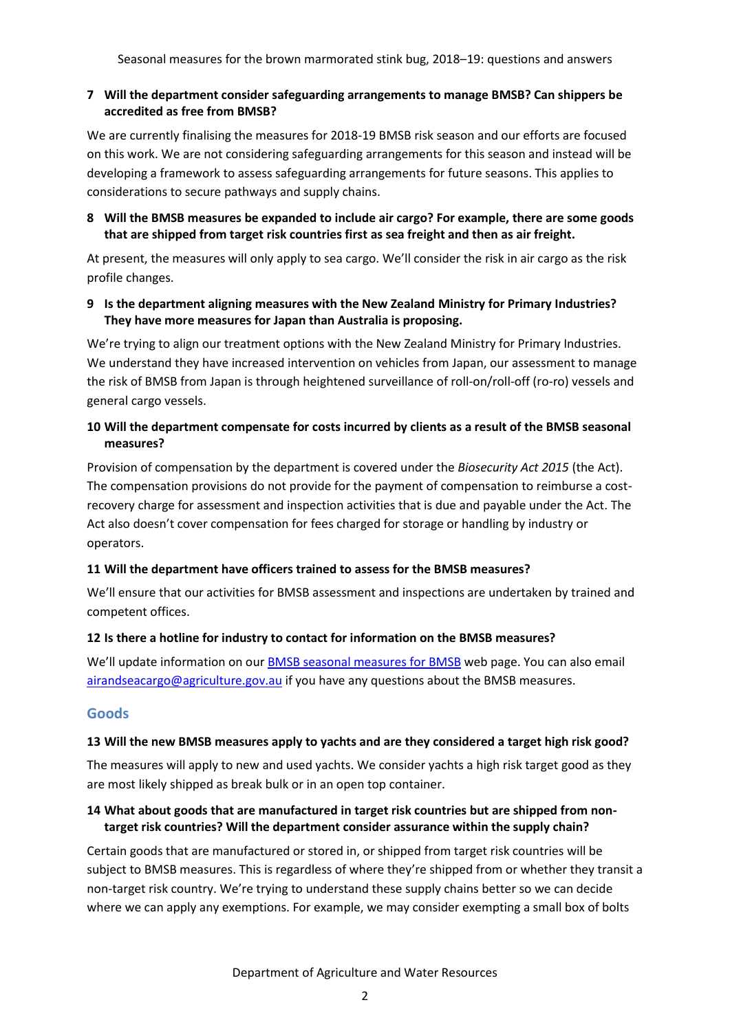### **7 Will the department consider safeguarding arrangements to manage BMSB? Can shippers be accredited as free from BMSB?**

We are currently finalising the measures for 2018-19 BMSB risk season and our efforts are focused on this work. We are not considering safeguarding arrangements for this season and instead will be developing a framework to assess safeguarding arrangements for future seasons. This applies to considerations to secure pathways and supply chains.

### **8 Will the BMSB measures be expanded to include air cargo? For example, there are some goods that are shipped from target risk countries first as sea freight and then as air freight.**

At present, the measures will only apply to sea cargo. We'll consider the risk in air cargo as the risk profile changes.

### **9 Is the department aligning measures with the New Zealand Ministry for Primary Industries? They have more measures for Japan than Australia is proposing.**

We're trying to align our treatment options with the New Zealand Ministry for Primary Industries. We understand they have increased intervention on vehicles from Japan, our assessment to manage the risk of BMSB from Japan is through heightened surveillance of roll-on/roll-off (ro-ro) vessels and general cargo vessels.

# **10 Will the department compensate for costs incurred by clients as a result of the BMSB seasonal measures?**

Provision of compensation by the department is covered under the *Biosecurity Act 2015* (the Act). The compensation provisions do not provide for the payment of compensation to reimburse a costrecovery charge for assessment and inspection activities that is due and payable under the Act. The Act also doesn't cover compensation for fees charged for storage or handling by industry or operators.

# **11 Will the department have officers trained to assess for the BMSB measures?**

We'll ensure that our activities for BMSB assessment and inspections are undertaken by trained and competent offices.

# **12 Is there a hotline for industry to contact for information on the BMSB measures?**

We'll update information on our **BMSB** seasonal measures for **BMSB** web page. You can also email [airandseacargo@agriculture.gov.au](mailto:airandseacargo@agriculture.gov.au) if you have any questions about the BMSB measures.

# **Goods**

### **13 Will the new BMSB measures apply to yachts and are they considered a target high risk good?**

The measures will apply to new and used yachts. We consider yachts a high risk target good as they are most likely shipped as break bulk or in an open top container.

# **14 What about goods that are manufactured in target risk countries but are shipped from nontarget risk countries? Will the department consider assurance within the supply chain?**

Certain goods that are manufactured or stored in, or shipped from target risk countries will be subject to BMSB measures. This is regardless of where they're shipped from or whether they transit a non-target risk country. We're trying to understand these supply chains better so we can decide where we can apply any exemptions. For example, we may consider exempting a small box of bolts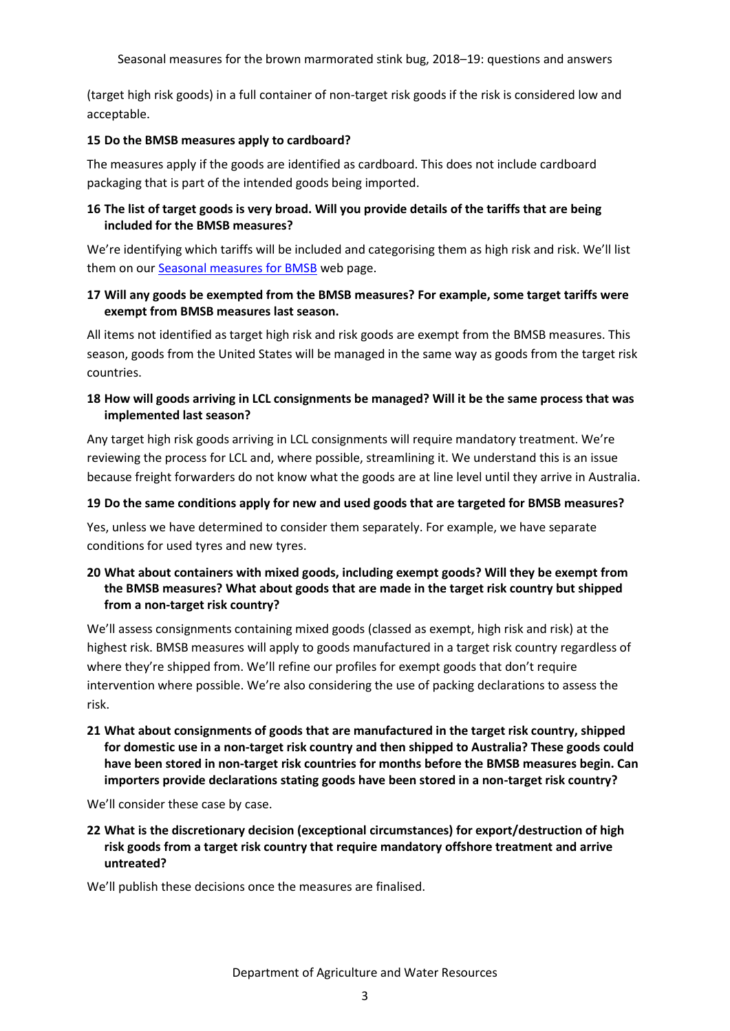Seasonal measures for the brown marmorated stink bug, 2018–19: questions and answers

(target high risk goods) in a full container of non-target risk goods if the risk is considered low and acceptable.

### **15 Do the BMSB measures apply to cardboard?**

The measures apply if the goods are identified as cardboard. This does not include cardboard packaging that is part of the intended goods being imported.

# **16 The list of target goods is very broad. Will you provide details of the tariffs that are being included for the BMSB measures?**

We're identifying which tariffs will be included and categorising them as high risk and risk. We'll list them on our [Seasonal measures for BMSB](http://www.agriculture.gov.au/bmsb) web page.

# **17 Will any goods be exempted from the BMSB measures? For example, some target tariffs were exempt from BMSB measures last season.**

All items not identified as target high risk and risk goods are exempt from the BMSB measures. This season, goods from the United States will be managed in the same way as goods from the target risk countries.

# **18 How will goods arriving in LCL consignments be managed? Will it be the same process that was implemented last season?**

Any target high risk goods arriving in LCL consignments will require mandatory treatment. We're reviewing the process for LCL and, where possible, streamlining it. We understand this is an issue because freight forwarders do not know what the goods are at line level until they arrive in Australia.

# **19 Do the same conditions apply for new and used goods that are targeted for BMSB measures?**

Yes, unless we have determined to consider them separately. For example, we have separate conditions for used tyres and new tyres.

# **20 What about containers with mixed goods, including exempt goods? Will they be exempt from the BMSB measures? What about goods that are made in the target risk country but shipped from a non-target risk country?**

We'll assess consignments containing mixed goods (classed as exempt, high risk and risk) at the highest risk. BMSB measures will apply to goods manufactured in a target risk country regardless of where they're shipped from. We'll refine our profiles for exempt goods that don't require intervention where possible. We're also considering the use of packing declarations to assess the risk.

**21 What about consignments of goods that are manufactured in the target risk country, shipped for domestic use in a non-target risk country and then shipped to Australia? These goods could have been stored in non-target risk countries for months before the BMSB measures begin. Can importers provide declarations stating goods have been stored in a non-target risk country?**

We'll consider these case by case.

**22 What is the discretionary decision (exceptional circumstances) for export/destruction of high risk goods from a target risk country that require mandatory offshore treatment and arrive untreated?**

We'll publish these decisions once the measures are finalised.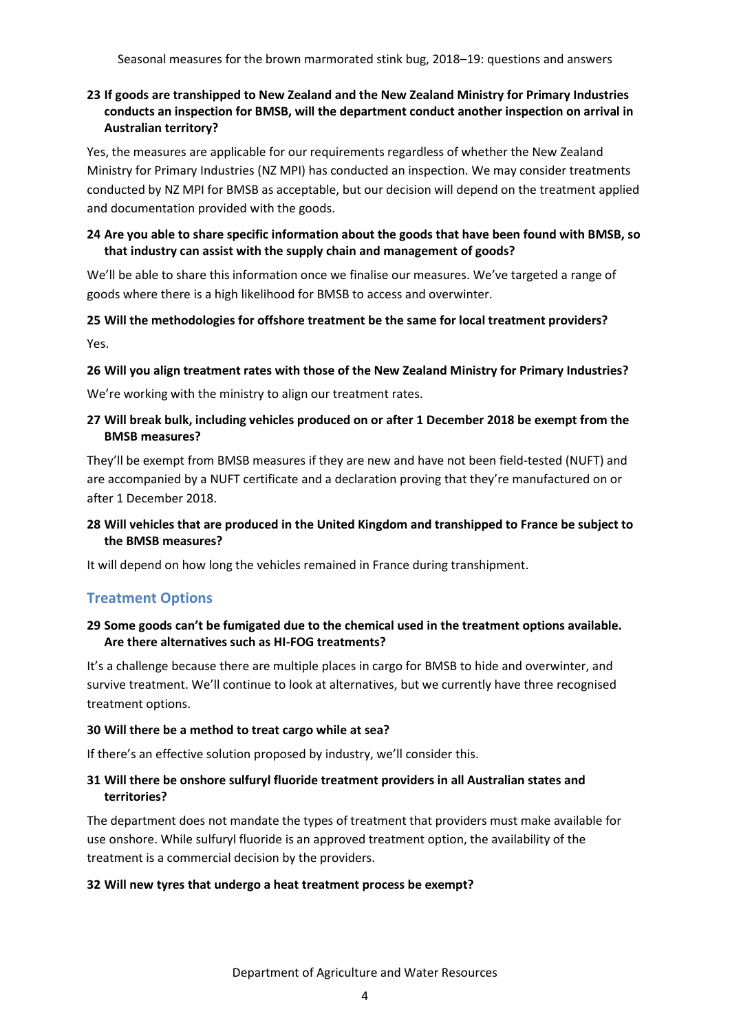# **23 If goods are transhipped to New Zealand and the New Zealand Ministry for Primary Industries conducts an inspection for BMSB, will the department conduct another inspection on arrival in Australian territory?**

Yes, the measures are applicable for our requirements regardless of whether the New Zealand Ministry for Primary Industries (NZ MPI) has conducted an inspection. We may consider treatments conducted by NZ MPI for BMSB as acceptable, but our decision will depend on the treatment applied and documentation provided with the goods.

# **24 Are you able to share specific information about the goods that have been found with BMSB, so that industry can assist with the supply chain and management of goods?**

We'll be able to share this information once we finalise our measures. We've targeted a range of goods where there is a high likelihood for BMSB to access and overwinter.

# **25 Will the methodologies for offshore treatment be the same for local treatment providers?** Yes.

# **26 Will you align treatment rates with those of the New Zealand Ministry for Primary Industries?**

We're working with the ministry to align our treatment rates.

# **27 Will break bulk, including vehicles produced on or after 1 December 2018 be exempt from the BMSB measures?**

They'll be exempt from BMSB measures if they are new and have not been field-tested (NUFT) and are accompanied by a NUFT certificate and a declaration proving that they're manufactured on or after 1 December 2018.

# **28 Will vehicles that are produced in the United Kingdom and transhipped to France be subject to the BMSB measures?**

It will depend on how long the vehicles remained in France during transhipment.

# **Treatment Options**

### **29 Some goods can't be fumigated due to the chemical used in the treatment options available. Are there alternatives such as HI-FOG treatments?**

It's a challenge because there are multiple places in cargo for BMSB to hide and overwinter, and survive treatment. We'll continue to look at alternatives, but we currently have three recognised treatment options.

### **30 Will there be a method to treat cargo while at sea?**

If there's an effective solution proposed by industry, we'll consider this.

# **31 Will there be onshore sulfuryl fluoride treatment providers in all Australian states and territories?**

The department does not mandate the types of treatment that providers must make available for use onshore. While sulfuryl fluoride is an approved treatment option, the availability of the treatment is a commercial decision by the providers.

### **32 Will new tyres that undergo a heat treatment process be exempt?**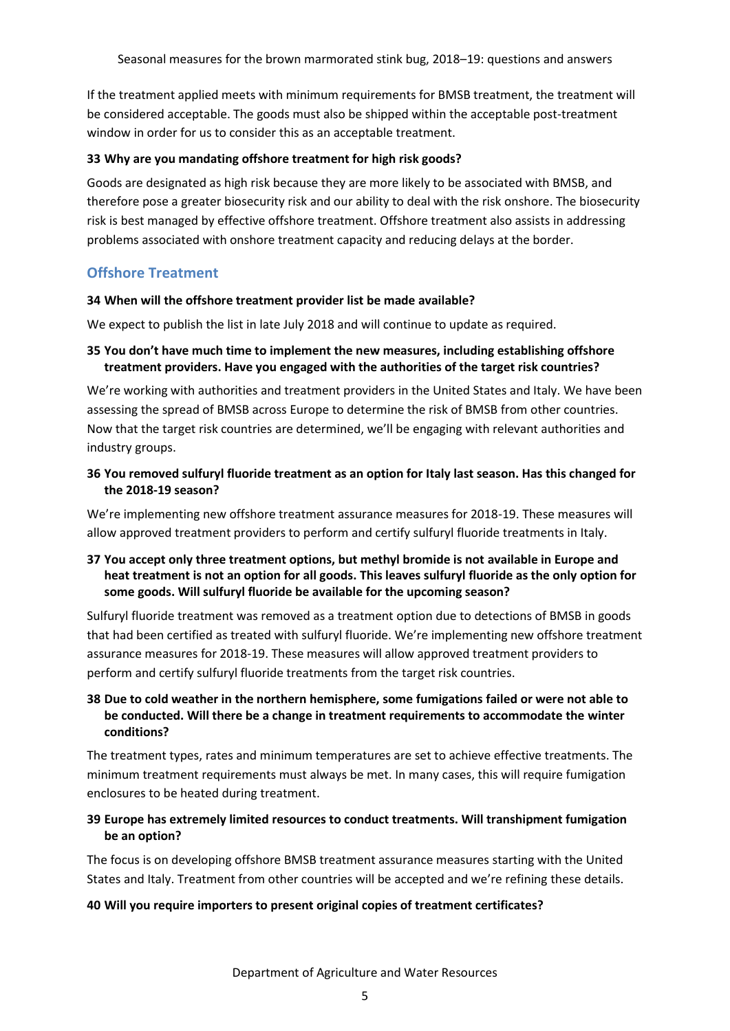If the treatment applied meets with minimum requirements for BMSB treatment, the treatment will be considered acceptable. The goods must also be shipped within the acceptable post-treatment window in order for us to consider this as an acceptable treatment.

### **33 Why are you mandating offshore treatment for high risk goods?**

Goods are designated as high risk because they are more likely to be associated with BMSB, and therefore pose a greater biosecurity risk and our ability to deal with the risk onshore. The biosecurity risk is best managed by effective offshore treatment. Offshore treatment also assists in addressing problems associated with onshore treatment capacity and reducing delays at the border.

# **Offshore Treatment**

### **34 When will the offshore treatment provider list be made available?**

We expect to publish the list in late July 2018 and will continue to update as required.

# **35 You don't have much time to implement the new measures, including establishing offshore treatment providers. Have you engaged with the authorities of the target risk countries?**

We're working with authorities and treatment providers in the United States and Italy. We have been assessing the spread of BMSB across Europe to determine the risk of BMSB from other countries. Now that the target risk countries are determined, we'll be engaging with relevant authorities and industry groups.

# **36 You removed sulfuryl fluoride treatment as an option for Italy last season. Has this changed for the 2018-19 season?**

We're implementing new offshore treatment assurance measures for 2018-19. These measures will allow approved treatment providers to perform and certify sulfuryl fluoride treatments in Italy.

# **37 You accept only three treatment options, but methyl bromide is not available in Europe and heat treatment is not an option for all goods. This leaves sulfuryl fluoride as the only option for some goods. Will sulfuryl fluoride be available for the upcoming season?**

Sulfuryl fluoride treatment was removed as a treatment option due to detections of BMSB in goods that had been certified as treated with sulfuryl fluoride. We're implementing new offshore treatment assurance measures for 2018-19. These measures will allow approved treatment providers to perform and certify sulfuryl fluoride treatments from the target risk countries.

# **38 Due to cold weather in the northern hemisphere, some fumigations failed or were not able to be conducted. Will there be a change in treatment requirements to accommodate the winter conditions?**

The treatment types, rates and minimum temperatures are set to achieve effective treatments. The minimum treatment requirements must always be met. In many cases, this will require fumigation enclosures to be heated during treatment.

# **39 Europe has extremely limited resources to conduct treatments. Will transhipment fumigation be an option?**

The focus is on developing offshore BMSB treatment assurance measures starting with the United States and Italy. Treatment from other countries will be accepted and we're refining these details.

### **40 Will you require importers to present original copies of treatment certificates?**